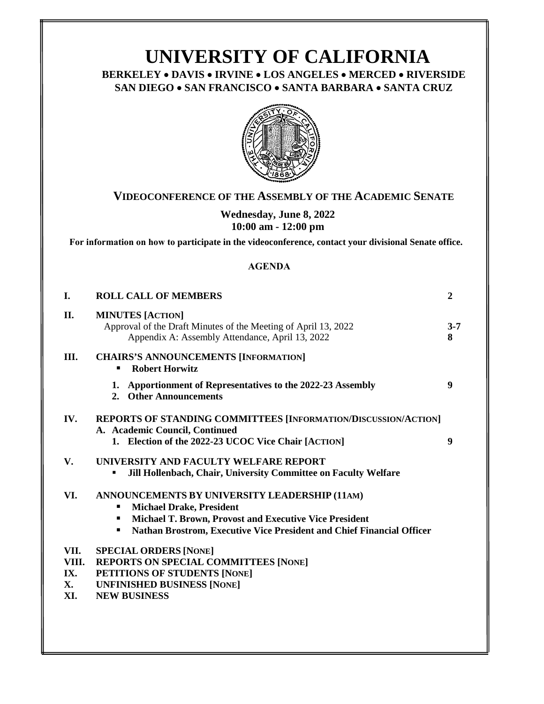# **UNIVERSITY OF CALIFORNIA BERKELEY** • **DAVIS** • **IRVINE** • **LOS ANGELES** • **MERCED** • **RIVERSIDE SAN DIEGO** • **SAN FRANCISCO** • **SANTA BARBARA** • **SANTA CRUZ**



# **VIDEOCONFERENCE OF THE ASSEMBLY OF THE ACADEMIC SENATE**

**Wednesday, June 8, 2022 10:00 am - 12:00 pm**

**For information on how to participate in the videoconference, contact your divisional Senate office.**

#### **[AGENDA](https://ucop.zoom.us/j/6568908103)**

| I.                                | <b>ROLL CALL OF MEMBERS</b>                                                                                                                                                                                         | $\overline{2}$ |
|-----------------------------------|---------------------------------------------------------------------------------------------------------------------------------------------------------------------------------------------------------------------|----------------|
| II.                               | <b>MINUTES [ACTION]</b><br>Approval of the Draft Minutes of the Meeting of April 13, 2022<br>Appendix A: Assembly Attendance, April 13, 2022                                                                        | $3 - 7$<br>8   |
| III.                              | <b>CHAIRS'S ANNOUNCEMENTS [INFORMATION]</b><br><b>Robert Horwitz</b>                                                                                                                                                |                |
|                                   | Apportionment of Representatives to the 2022-23 Assembly<br>1.<br>2. Other Announcements                                                                                                                            | 9              |
| IV.                               | REPORTS OF STANDING COMMITTEES [INFORMATION/DISCUSSION/ACTION]<br>A. Academic Council, Continued<br>1. Election of the 2022-23 UCOC Vice Chair [ACTION]                                                             | 9              |
| V.                                | UNIVERSITY AND FACULTY WELFARE REPORT<br>Jill Hollenbach, Chair, University Committee on Faculty Welfare<br>п                                                                                                       |                |
| VI.                               | ANNOUNCEMENTS BY UNIVERSITY LEADERSHIP (11AM)<br><b>Michael Drake, President</b><br>Michael T. Brown, Provost and Executive Vice President<br>Nathan Brostrom, Executive Vice President and Chief Financial Officer |                |
| VII.<br>VIII.<br>IX.<br>X.<br>XI. | <b>SPECIAL ORDERS [NONE]</b><br><b>REPORTS ON SPECIAL COMMITTEES [NONE]</b><br>PETITIONS OF STUDENTS [NONE]<br><b>UNFINISHED BUSINESS [NONE]</b><br><b>NEW BUSINESS</b>                                             |                |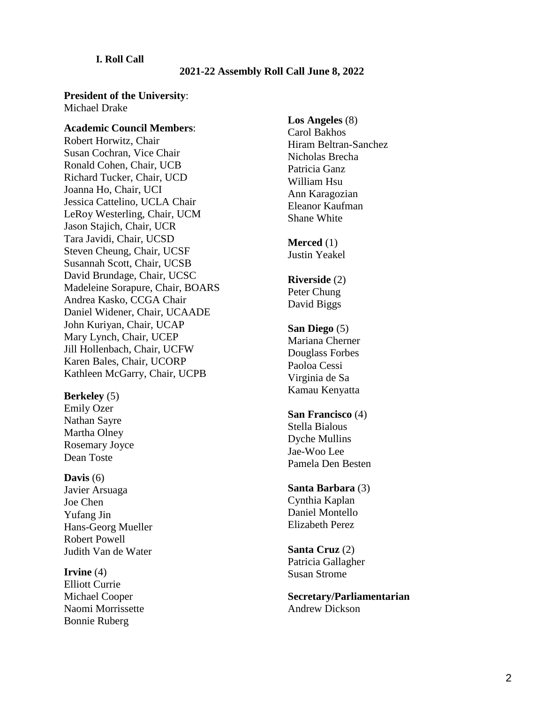#### **I. Roll Call**

#### **2021-22 Assembly Roll Call June 8, 2022**

#### **President of the University**: Michael Drake

**Academic Council Members**:

Robert Horwitz, Chair Susan Cochran, Vice Chair Ronald Cohen, Chair, UCB Richard Tucker, Chair, UCD Joanna Ho, Chair, UCI Jessica Cattelino, UCLA Chair LeRoy Westerling, Chair, UCM Jason Stajich, Chair, UCR Tara Javidi, Chair, UCSD Steven Cheung, Chair, UCSF Susannah Scott, Chair, UCSB David Brundage, Chair, UCSC Madeleine Sorapure, Chair, BOARS Andrea Kasko, CCGA Chair Daniel Widener, Chair, UCAADE John Kuriyan, Chair, UCAP Mary Lynch, Chair, UCEP Jill Hollenbach, Chair, UCFW Karen Bales, Chair, UCORP Kathleen McGarry, Chair, UCPB

**Berkeley** (5) Emily Ozer Nathan Sayre Martha Olney Rosemary Joyce Dean Toste

**Davis** (6) Javier Arsuaga Joe Chen Yufang Jin Hans-Georg Mueller Robert Powell Judith Van de Water

**Irvine** (4) Elliott Currie Michael Cooper Naomi Morrissette Bonnie Ruberg

**Los Angeles** (8) Carol Bakhos Hiram Beltran-Sanchez Nicholas Brecha Patricia Ganz William Hsu Ann Karagozian Eleanor Kaufman Shane White

**Merced** (1) Justin Yeakel

**Riverside** (2) Peter Chung David Biggs

- **San Diego** (5) Mariana Cherner Douglass Forbes Paoloa Cessi Virginia de Sa Kamau Kenyatta
- **San Francisco** (4) Stella Bialous Dyche Mullins Jae-Woo Lee Pamela Den Besten
- **Santa Barbara** (3) Cynthia Kaplan Daniel Montello Elizabeth Perez
- **Santa Cruz** (2) Patricia Gallagher Susan Strome

**Secretary/Parliamentarian** Andrew Dickson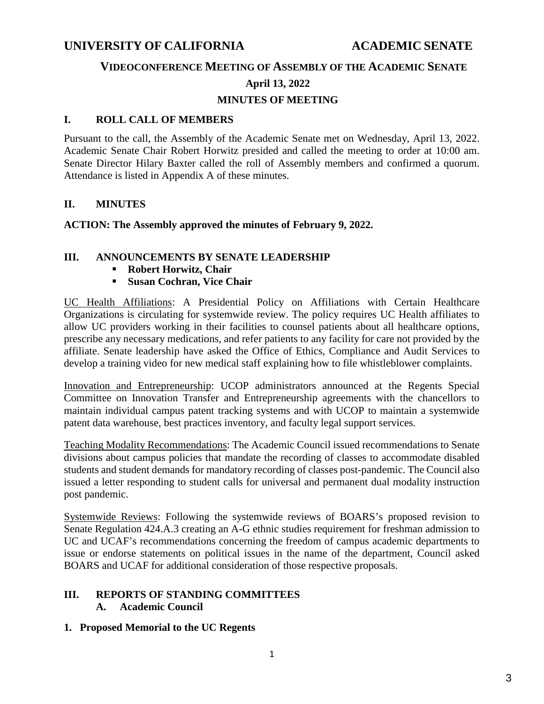# **UNIVERSITY OF CALIFORNIA ACADEMIC SENATE**

## **VIDEOCONFERENCE MEETING OF ASSEMBLY OF THE ACADEMIC SENATE**

#### **April 13, 2022**

# **MINUTES OF MEETING**

### **I. ROLL CALL OF MEMBERS**

Pursuant to the call, the Assembly of the Academic Senate met on Wednesday, April 13, 2022. Academic Senate Chair Robert Horwitz presided and called the meeting to order at 10:00 am. Senate Director Hilary Baxter called the roll of Assembly members and confirmed a quorum. Attendance is listed in Appendix A of these minutes.

## **II. MINUTES**

**ACTION: The Assembly approved the minutes of February 9, 2022.**

# **III. ANNOUNCEMENTS BY SENATE LEADERSHIP**

- **Robert Horwitz, Chair**
- **Susan Cochran, Vice Chair**

UC Health Affiliations: A Presidential Policy on Affiliations with Certain Healthcare Organizations is circulating for systemwide review. The policy requires UC Health affiliates to allow UC providers working in their facilities to counsel patients about all healthcare options, prescribe any necessary medications, and refer patients to any facility for care not provided by the affiliate. Senate leadership have asked the Office of Ethics, Compliance and Audit Services to develop a training video for new medical staff explaining how to file whistleblower complaints.

Innovation and Entrepreneurship: UCOP administrators announced at the Regents Special Committee on Innovation Transfer and Entrepreneurship agreements with the chancellors to maintain individual campus patent tracking systems and with UCOP to maintain a systemwide patent data warehouse, best practices inventory, and faculty legal support services.

Teaching Modality Recommendations: The Academic Council issued recommendations to Senate divisions about campus policies that mandate the recording of classes to accommodate disabled students and student demands for mandatory recording of classes post-pandemic. The Council also issued a letter responding to student calls for universal and permanent dual modality instruction post pandemic.

Systemwide Reviews: Following the systemwide reviews of BOARS's proposed revision to Senate Regulation 424.A.3 creating an A-G ethnic studies requirement for freshman admission to UC and UCAF's recommendations concerning the freedom of campus academic departments to issue or endorse statements on political issues in the name of the department, Council asked BOARS and UCAF for additional consideration of those respective proposals.

# **III. REPORTS OF STANDING COMMITTEES**

# **A. Academic Council**

**1. Proposed Memorial to the UC Regents**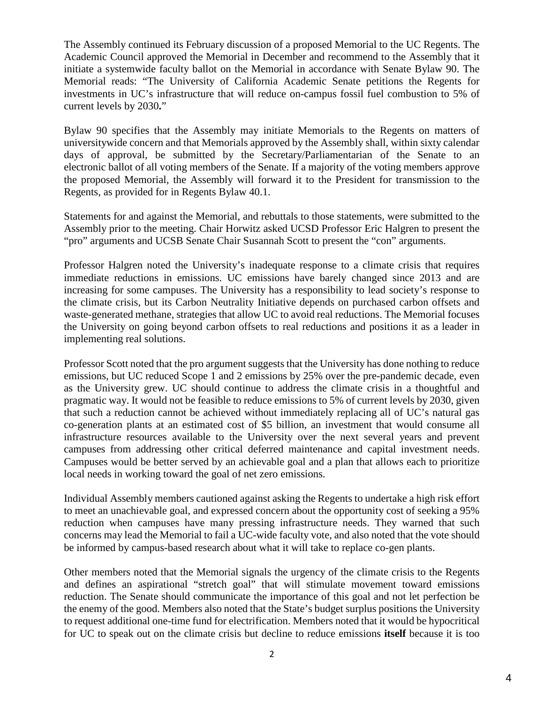The Assembly continued its February discussion of a proposed Memorial to the UC Regents. The Academic Council approved the Memorial in December and recommend to the Assembly that it initiate a systemwide faculty ballot on the Memorial in accordance with Senate Bylaw 90. The Memorial reads: "The University of California Academic Senate petitions the Regents for investments in UC's infrastructure that will reduce on-campus fossil fuel combustion to 5% of current levels by 2030**.**"

Bylaw 90 specifies that the Assembly may initiate Memorials to the Regents on matters of universitywide concern and that Memorials approved by the Assembly shall, within sixty calendar days of approval, be submitted by the Secretary/Parliamentarian of the Senate to an electronic ballot of all voting members of the Senate. If a majority of the voting members approve the proposed Memorial, the Assembly will forward it to the President for transmission to the Regents, as provided for in Regents Bylaw 40.1.

Statements for and against the Memorial, and rebuttals to those statements, were submitted to the Assembly prior to the meeting. Chair Horwitz asked UCSD Professor Eric Halgren to present the "pro" arguments and UCSB Senate Chair Susannah Scott to present the "con" arguments.

Professor Halgren noted the University's inadequate response to a climate crisis that requires immediate reductions in emissions. UC emissions have barely changed since 2013 and are increasing for some campuses. The University has a responsibility to lead society's response to the climate crisis, but its Carbon Neutrality Initiative depends on purchased carbon offsets and waste-generated methane, strategies that allow UC to avoid real reductions. The Memorial focuses the University on going beyond carbon offsets to real reductions and positions it as a leader in implementing real solutions.

Professor Scott noted that the pro argument suggests that the University has done nothing to reduce emissions, but UC reduced Scope 1 and 2 emissions by 25% over the pre-pandemic decade, even as the University grew. UC should continue to address the climate crisis in a thoughtful and pragmatic way. It would not be feasible to reduce emissions to 5% of current levels by 2030, given that such a reduction cannot be achieved without immediately replacing all of UC's natural gas co-generation plants at an estimated cost of \$5 billion, an investment that would consume all infrastructure resources available to the University over the next several years and prevent campuses from addressing other critical deferred maintenance and capital investment needs. Campuses would be better served by an achievable goal and a plan that allows each to prioritize local needs in working toward the goal of net zero emissions.

Individual Assembly members cautioned against asking the Regents to undertake a high risk effort to meet an unachievable goal, and expressed concern about the opportunity cost of seeking a 95% reduction when campuses have many pressing infrastructure needs. They warned that such concerns may lead the Memorial to fail a UC-wide faculty vote, and also noted that the vote should be informed by campus-based research about what it will take to replace co-gen plants.

Other members noted that the Memorial signals the urgency of the climate crisis to the Regents and defines an aspirational "stretch goal" that will stimulate movement toward emissions reduction. The Senate should communicate the importance of this goal and not let perfection be the enemy of the good. Members also noted that the State's budget surplus positions the University to request additional one-time fund for electrification. Members noted that it would be hypocritical for UC to speak out on the climate crisis but decline to reduce emissions **itself** because it is too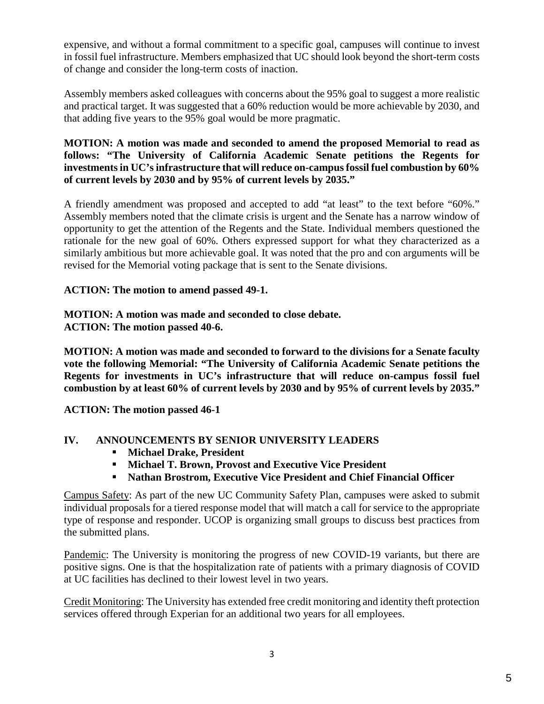expensive, and without a formal commitment to a specific goal, campuses will continue to invest in fossil fuel infrastructure. Members emphasized that UC should look beyond the short-term costs of change and consider the long-term costs of inaction.

Assembly members asked colleagues with concerns about the 95% goal to suggest a more realistic and practical target. It was suggested that a 60% reduction would be more achievable by 2030, and that adding five years to the 95% goal would be more pragmatic.

**MOTION: A motion was made and seconded to amend the proposed Memorial to read as follows: "The University of California Academic Senate petitions the Regents for investments in UC's infrastructure that will reduce on-campus fossil fuel combustion by 60% of current levels by 2030 and by 95% of current levels by 2035."** 

A friendly amendment was proposed and accepted to add "at least" to the text before "60%." Assembly members noted that the climate crisis is urgent and the Senate has a narrow window of opportunity to get the attention of the Regents and the State. Individual members questioned the rationale for the new goal of 60%. Others expressed support for what they characterized as a similarly ambitious but more achievable goal. It was noted that the pro and con arguments will be revised for the Memorial voting package that is sent to the Senate divisions.

**ACTION: The motion to amend passed 49-1.** 

#### **MOTION: A motion was made and seconded to close debate. ACTION: The motion passed 40-6.**

**MOTION: A motion was made and seconded to forward to the divisions for a Senate faculty vote the following Memorial: "The University of California Academic Senate petitions the Regents for investments in UC's infrastructure that will reduce on-campus fossil fuel combustion by at least 60% of current levels by 2030 and by 95% of current levels by 2035."**

**ACTION: The motion passed 46-1** 

# **IV. ANNOUNCEMENTS BY SENIOR UNIVERSITY LEADERS**

- **Michael Drake, President**
- **Michael T. Brown, Provost and Executive Vice President**
- **Nathan Brostrom, Executive Vice President and Chief Financial Officer**

Campus Safety: As part of the new UC Community Safety Plan, campuses were asked to submit individual proposals for a tiered response model that will match a call for service to the appropriate type of response and responder. UCOP is organizing small groups to discuss best practices from the submitted plans.

Pandemic: The University is monitoring the progress of new COVID-19 variants, but there are positive signs. One is that the hospitalization rate of patients with a primary diagnosis of COVID at UC facilities has declined to their lowest level in two years.

Credit Monitoring: The University has extended free credit monitoring and identity theft protection services offered through Experian for an additional two years for all employees.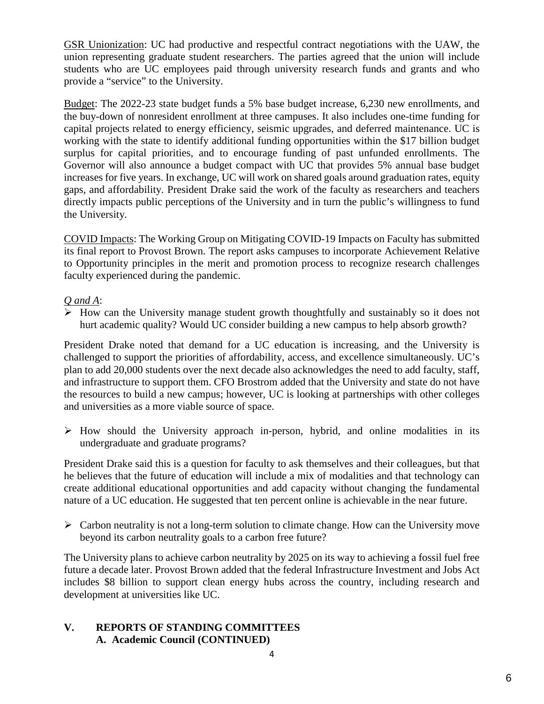GSR Unionization: UC had productive and respectful contract negotiations with the UAW, the union representing graduate student researchers. The parties agreed that the union will include students who are UC employees paid through university research funds and grants and who provide a "service" to the University.

Budget: The 2022-23 state budget funds a 5% base budget increase, 6,230 new enrollments, and the buy-down of nonresident enrollment at three campuses. It also includes one-time funding for capital projects related to energy efficiency, seismic upgrades, and deferred maintenance. UC is working with the state to identify additional funding opportunities within the \$17 billion budget surplus for capital priorities, and to encourage funding of past unfunded enrollments. The Governor will also announce a budget compact with UC that provides 5% annual base budget increases for five years. In exchange, UC will work on shared goals around graduation rates, equity gaps, and affordability. President Drake said the work of the faculty as researchers and teachers directly impacts public perceptions of the University and in turn the public's willingness to fund the University.

COVID Impacts: The Working Group on Mitigating COVID-19 Impacts on Faculty has submitted its final report to Provost Brown. The report asks campuses to incorporate Achievement Relative to Opportunity principles in the merit and promotion process to recognize research challenges faculty experienced during the pandemic.

# *Q and A*:

 $\triangleright$  How can the University manage student growth thoughtfully and sustainably so it does not hurt academic quality? Would UC consider building a new campus to help absorb growth?

President Drake noted that demand for a UC education is increasing, and the University is challenged to support the priorities of affordability, access, and excellence simultaneously. UC's plan to add 20,000 students over the next decade also acknowledges the need to add faculty, staff, and infrastructure to support them. CFO Brostrom added that the University and state do not have the resources to build a new campus; however, UC is looking at partnerships with other colleges and universities as a more viable source of space.

 $\triangleright$  How should the University approach in-person, hybrid, and online modalities in its undergraduate and graduate programs?

President Drake said this is a question for faculty to ask themselves and their colleagues, but that he believes that the future of education will include a mix of modalities and that technology can create additional educational opportunities and add capacity without changing the fundamental nature of a UC education. He suggested that ten percent online is achievable in the near future.

 $\triangleright$  Carbon neutrality is not a long-term solution to climate change. How can the University move beyond its carbon neutrality goals to a carbon free future?

The University plans to achieve carbon neutrality by 2025 on its way to achieving a fossil fuel free future a decade later. Provost Brown added that the federal Infrastructure Investment and Jobs Act includes \$8 billion to support clean energy hubs across the country, including research and development at universities like UC.

## **V. REPORTS OF STANDING COMMITTEES A. Academic Council (CONTINUED)**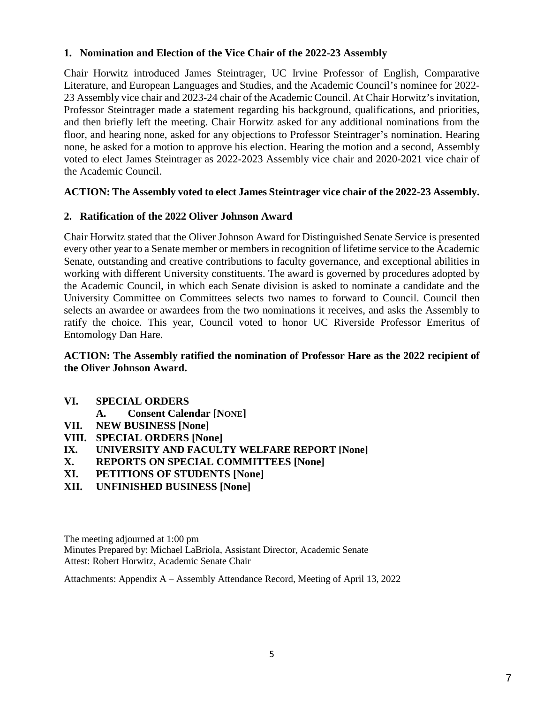## **1. Nomination and Election of the Vice Chair of the 2022-23 Assembly**

Chair Horwitz introduced James Steintrager, UC Irvine Professor of English, Comparative Literature, and European Languages and Studies, and the Academic Council's nominee for 2022- 23 Assembly vice chair and 2023-24 chair of the Academic Council. At Chair Horwitz's invitation, Professor Steintrager made a statement regarding his background, qualifications, and priorities, and then briefly left the meeting. Chair Horwitz asked for any additional nominations from the floor, and hearing none, asked for any objections to Professor Steintrager's nomination. Hearing none, he asked for a motion to approve his election. Hearing the motion and a second, Assembly voted to elect James Steintrager as 2022-2023 Assembly vice chair and 2020-2021 vice chair of the Academic Council.

## **ACTION: The Assembly voted to elect James Steintrager vice chair of the 2022-23 Assembly.**

#### **2. Ratification of the 2022 Oliver Johnson Award**

Chair Horwitz stated that the Oliver Johnson Award for Distinguished Senate Service is presented every other year to a Senate member or members in recognition of lifetime service to the Academic Senate, outstanding and creative contributions to faculty governance, and exceptional abilities in working with different University constituents. The award is governed by procedures adopted by the Academic Council, in which each Senate division is asked to nominate a candidate and the University Committee on Committees selects two names to forward to Council. Council then selects an awardee or awardees from the two nominations it receives, and asks the Assembly to ratify the choice. This year, Council voted to honor UC Riverside Professor Emeritus of Entomology Dan Hare.

## **ACTION: The Assembly ratified the nomination of Professor Hare as the 2022 recipient of the Oliver Johnson Award.**

- **VI. SPECIAL ORDERS**
	- **A. Consent Calendar [NONE]**
- **VII. NEW BUSINESS [None]**
- **VIII. SPECIAL ORDERS [None]**
- **IX. UNIVERSITY AND FACULTY WELFARE REPORT [None]**
- **X. REPORTS ON SPECIAL COMMITTEES [None]**
- **XI. PETITIONS OF STUDENTS [None]**
- **XII. UNFINISHED BUSINESS [None]**

The meeting adjourned at 1:00 pm Minutes Prepared by: Michael LaBriola, Assistant Director, Academic Senate Attest: Robert Horwitz, Academic Senate Chair

Attachments: Appendix A – Assembly Attendance Record, Meeting of April 13, 2022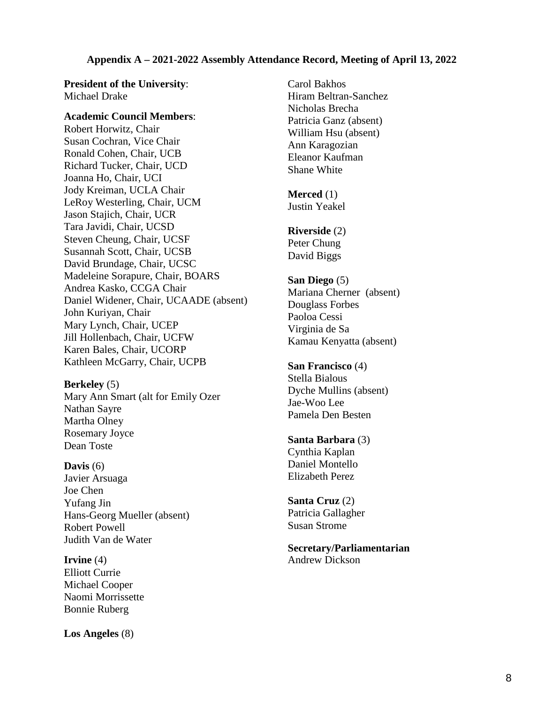#### **Appendix A – 2021-2022 Assembly Attendance Record, Meeting of April 13, 2022**

**President of the University**: Michael Drake

**Academic Council Members**: Robert Horwitz, Chair Susan Cochran, Vice Chair Ronald Cohen, Chair, UCB Richard Tucker, Chair, UCD Joanna Ho, Chair, UCI Jody Kreiman, UCLA Chair LeRoy Westerling, Chair, UCM Jason Stajich, Chair, UCR Tara Javidi, Chair, UCSD Steven Cheung, Chair, UCSF Susannah Scott, Chair, UCSB David Brundage, Chair, UCSC Madeleine Sorapure, Chair, BOARS Andrea Kasko, CCGA Chair Daniel Widener, Chair, UCAADE (absent) John Kuriyan, Chair Mary Lynch, Chair, UCEP Jill Hollenbach, Chair, UCFW Karen Bales, Chair, UCORP Kathleen McGarry, Chair, UCPB

**Berkeley** (5) Mary Ann Smart (alt for Emily Ozer Nathan Sayre Martha Olney Rosemary Joyce Dean Toste

#### **Davis** (6)

Javier Arsuaga Joe Chen Yufang Jin Hans-Georg Mueller (absent) Robert Powell Judith Van de Water

**Irvine** (4) Elliott Currie Michael Cooper Naomi Morrissette Bonnie Ruberg

**Los Angeles** (8)

Carol Bakhos Hiram Beltran-Sanchez Nicholas Brecha Patricia Ganz (absent) William Hsu (absent) Ann Karagozian Eleanor Kaufman Shane White

**Merced** (1) Justin Yeakel

**Riverside** (2) Peter Chung David Biggs

**San Diego** (5) Mariana Cherner (absent) Douglass Forbes Paoloa Cessi Virginia de Sa Kamau Kenyatta (absent)

**San Francisco** (4) Stella Bialous Dyche Mullins (absent) Jae-Woo Lee Pamela Den Besten

**Santa Barbara** (3) Cynthia Kaplan Daniel Montello Elizabeth Perez

**Santa Cruz** (2) Patricia Gallagher Susan Strome

**Secretary/Parliamentarian** Andrew Dickson